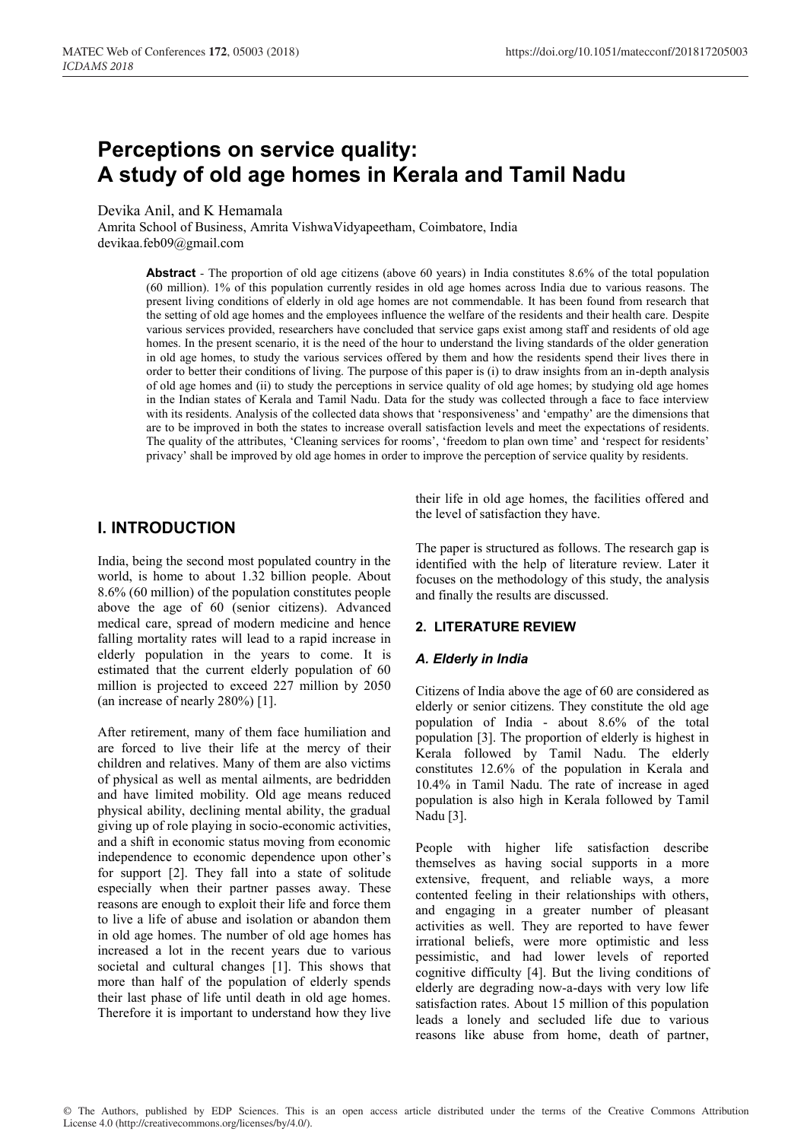# **Perceptions on service quality: A study of old age homes in Kerala and Tamil Nadu**

Devika Anil, and K Hemamala

Amrita School of Business, Amrita VishwaVidyapeetham, Coimbatore, India devikaa.feb09@gmail.com

> **Abstract** *-* The proportion of old age citizens (above 60 years) in India constitutes 8.6% of the total population (60 million). 1% of this population currently resides in old age homes across India due to various reasons. The present living conditions of elderly in old age homes are not commendable. It has been found from research that the setting of old age homes and the employees influence the welfare of the residents and their health care. Despite various services provided, researchers have concluded that service gaps exist among staff and residents of old age homes. In the present scenario, it is the need of the hour to understand the living standards of the older generation in old age homes, to study the various services offered by them and how the residents spend their lives there in order to better their conditions of living. The purpose of this paper is (i) to draw insights from an in-depth analysis of old age homes and (ii) to study the perceptions in service quality of old age homes; by studying old age homes in the Indian states of Kerala and Tamil Nadu. Data for the study was collected through a face to face interview with its residents. Analysis of the collected data shows that "responsiveness" and "empathy" are the dimensions that are to be improved in both the states to increase overall satisfaction levels and meet the expectations of residents. The quality of the attributes, 'Cleaning services for rooms', 'freedom to plan own time' and 'respect for residents' privacy" shall be improved by old age homes in order to improve the perception of service quality by residents.

## **I. INTRODUCTION**

India, being the second most populated country in the world, is home to about 1.32 billion people. About 8.6% (60 million) of the population constitutes people above the age of 60 (senior citizens). Advanced medical care, spread of modern medicine and hence falling mortality rates will lead to a rapid increase in elderly population in the years to come. It is estimated that the current elderly population of 60 million is projected to exceed 227 million by 2050 (an increase of nearly 280%) [1].

After retirement, many of them face humiliation and are forced to live their life at the mercy of their children and relatives. Many of them are also victims of physical as well as mental ailments, are bedridden and have limited mobility. Old age means reduced physical ability, declining mental ability, the gradual giving up of role playing in socio-economic activities, and a shift in economic status moving from economic independence to economic dependence upon other"s for support [2]. They fall into a state of solitude especially when their partner passes away. These reasons are enough to exploit their life and force them to live a life of abuse and isolation or abandon them in old age homes. The number of old age homes has increased a lot in the recent years due to various societal and cultural changes [1]. This shows that more than half of the population of elderly spends their last phase of life until death in old age homes. Therefore it is important to understand how they live their life in old age homes, the facilities offered and the level of satisfaction they have.

The paper is structured as follows. The research gap is identified with the help of literature review. Later it focuses on the methodology of this study, the analysis and finally the results are discussed.

### **2. LITERATURE REVIEW**

### *A. Elderly in India*

Citizens of India above the age of 60 are considered as elderly or senior citizens. They constitute the old age population of India - about 8.6% of the total population [3]. The proportion of elderly is highest in Kerala followed by Tamil Nadu. The elderly constitutes 12.6% of the population in Kerala and 10.4% in Tamil Nadu. The rate of increase in aged population is also high in Kerala followed by Tamil Nadu [3].

People with higher life satisfaction describe themselves as having social supports in a more extensive, frequent, and reliable ways, a more contented feeling in their relationships with others, and engaging in a greater number of pleasant activities as well. They are reported to have fewer irrational beliefs, were more optimistic and less pessimistic, and had lower levels of reported cognitive difficulty [4]. But the living conditions of elderly are degrading now-a-days with very low life satisfaction rates. About 15 million of this population leads a lonely and secluded life due to various reasons like abuse from home, death of partner,

© The Authors, published by EDP Sciences. This is an open access article distributed under the terms of the Creative Commons Attribution License 4.0 (http://creativecommons.org/licenses/by/4.0/).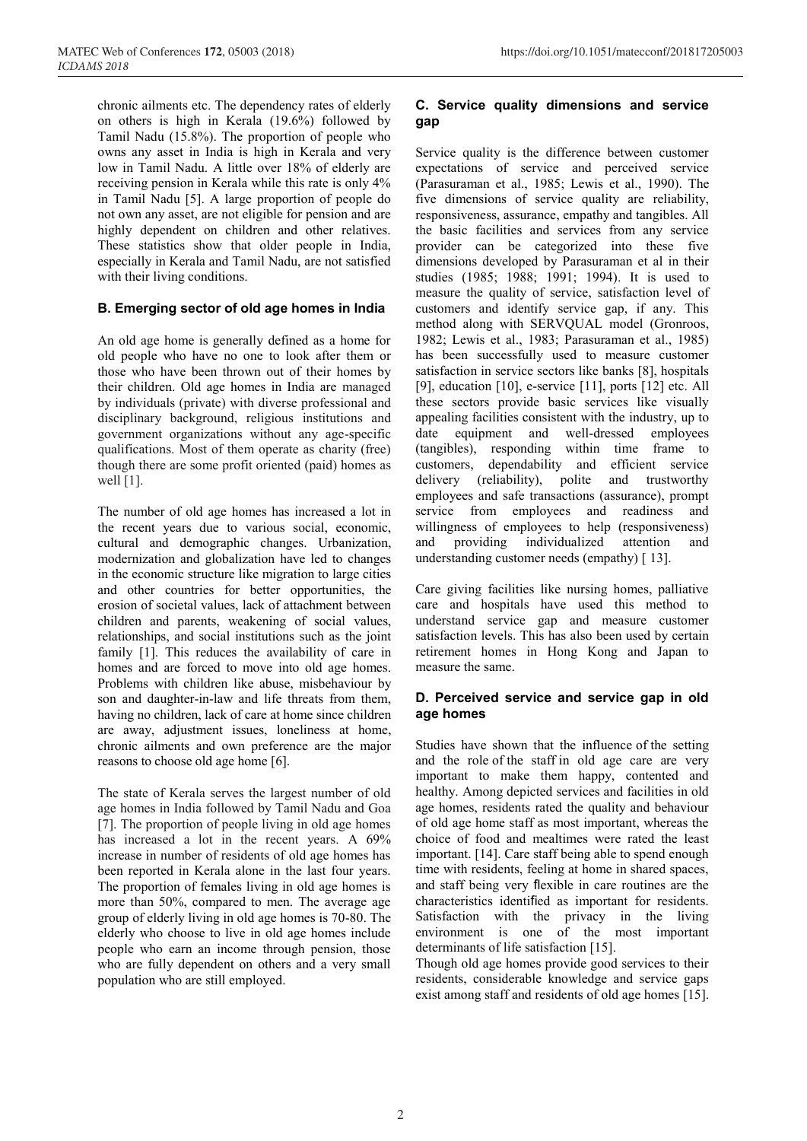chronic ailments etc. The dependency rates of elderly on others is high in Kerala (19.6%) followed by Tamil Nadu (15.8%). The proportion of people who owns any asset in India is high in Kerala and very low in Tamil Nadu. A little over 18% of elderly are receiving pension in Kerala while this rate is only 4% in Tamil Nadu [5]. A large proportion of people do not own any asset, are not eligible for pension and are highly dependent on children and other relatives. These statistics show that older people in India, especially in Kerala and Tamil Nadu, are not satisfied with their living conditions.

#### **B. Emerging sector of old age homes in India**

An old age home is generally defined as a home for old people who have no one to look after them or those who have been thrown out of their homes by their children. Old age homes in India are managed by individuals (private) with diverse professional and disciplinary background, religious institutions and government organizations without any age-specific qualifications. Most of them operate as charity (free) though there are some profit oriented (paid) homes as well  $[1]$ .

The number of old age homes has increased a lot in the recent years due to various social, economic, cultural and demographic changes. Urbanization, modernization and globalization have led to changes in the economic structure like migration to large cities and other countries for better opportunities, the erosion of societal values, lack of attachment between children and parents, weakening of social values, relationships, and social institutions such as the joint family [1]. This reduces the availability of care in homes and are forced to move into old age homes. Problems with children like abuse, misbehaviour by son and daughter-in-law and life threats from them, having no children, lack of care at home since children are away, adjustment issues, loneliness at home, chronic ailments and own preference are the major reasons to choose old age home [6].

The state of Kerala serves the largest number of old age homes in India followed by Tamil Nadu and Goa [7]. The proportion of people living in old age homes has increased a lot in the recent years. A 69% increase in number of residents of old age homes has been reported in Kerala alone in the last four years. The proportion of females living in old age homes is more than 50%, compared to men. The average age group of elderly living in old age homes is 70-80. The elderly who choose to live in old age homes include people who earn an income through pension, those who are fully dependent on others and a very small population who are still employed.

## **C. Service quality dimensions and service gap**

Service quality is the difference between customer expectations of service and perceived service (Parasuraman et al., 1985; Lewis et al., 1990). The five dimensions of service quality are reliability, responsiveness, assurance, empathy and tangibles. All the basic facilities and services from any service provider can be categorized into these five dimensions developed by Parasuraman et al in their studies (1985; 1988; 1991; 1994). It is used to measure the quality of service, satisfaction level of customers and identify service gap, if any. This method along with SERVQUAL model (Gronroos, 1982; Lewis et al., 1983; Parasuraman et al., 1985) has been successfully used to measure customer satisfaction in service sectors like banks [8], hospitals [9], education [10], e-service [11], ports [12] etc. All these sectors provide basic services like visually appealing facilities consistent with the industry, up to date equipment and well-dressed employees (tangibles), responding within time frame to customers, dependability and efficient service delivery (reliability), polite and trustworthy employees and safe transactions (assurance), prompt service from employees and readiness and willingness of employees to help (responsiveness) and providing individualized attention and understanding customer needs (empathy) [ 13].

Care giving facilities like nursing homes, palliative care and hospitals have used this method to understand service gap and measure customer satisfaction levels. This has also been used by certain retirement homes in Hong Kong and Japan to measure the same.

### **D. Perceived service and service gap in old age homes**

Studies have shown that the influence of the setting and the role of the staff in old age care are very important to make them happy, contented and healthy. Among depicted services and facilities in old age homes, residents rated the quality and behaviour of old age home staff as most important, whereas the choice of food and mealtimes were rated the least important. [14]. Care staff being able to spend enough time with residents, feeling at home in shared spaces, and staff being very flexible in care routines are the characteristics identified as important for residents. Satisfaction with the privacy in the living environment is one of the most important determinants of life satisfaction [15].

Though old age homes provide good services to their residents, considerable knowledge and service gaps exist among staff and residents of old age homes [15].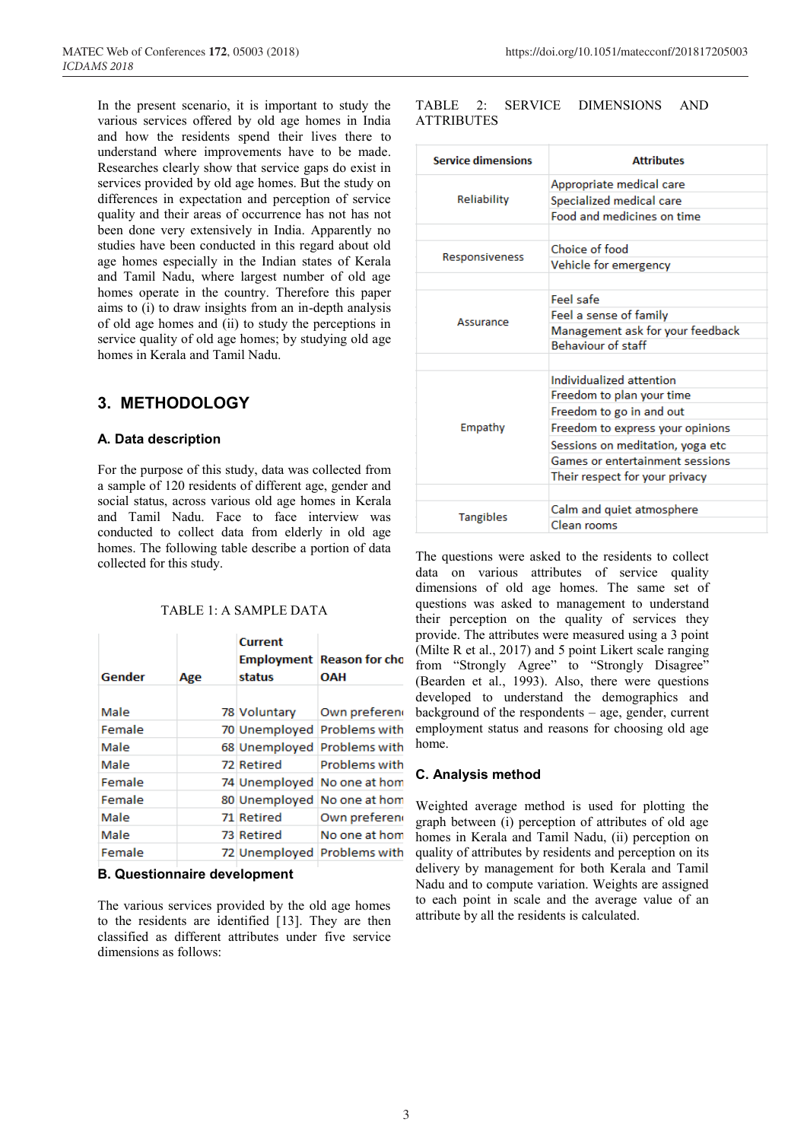In the present scenario, it is important to study the various services offered by old age homes in India and how the residents spend their lives there to understand where improvements have to be made. Researches clearly show that service gaps do exist in services provided by old age homes. But the study on differences in expectation and perception of service quality and their areas of occurrence has not has not been done very extensively in India. Apparently no studies have been conducted in this regard about old age homes especially in the Indian states of Kerala and Tamil Nadu, where largest number of old age homes operate in the country. Therefore this paper aims to (i) to draw insights from an in-depth analysis of old age homes and (ii) to study the perceptions in service quality of old age homes; by studying old age homes in Kerala and Tamil Nadu.

## **3. METHODOLOGY**

#### **A. Data description**

For the purpose of this study, data was collected from a sample of 120 residents of different age, gender and social status, across various old age homes in Kerala and Tamil Nadu. Face to face interview was conducted to collect data from elderly in old age homes. The following table describe a portion of data collected for this study.

#### TABLE 1: A SAMPLE DATA

| Gender | Age | <b>Current</b><br>status | <b>Employment Reason for cho</b><br><b>OAH</b> |
|--------|-----|--------------------------|------------------------------------------------|
| Male   |     | 78 Voluntary             | Own preferen                                   |
| Female |     |                          | 70 Unemployed Problems with                    |
| Male   |     |                          | 68 Unemployed Problems with                    |
| Male   |     | 72 Retired               | <b>Problems with</b>                           |
| Female |     |                          | 74 Unemployed No one at hom                    |
| Female |     |                          | 80 Unemployed No one at hom                    |
| Male   |     | 71 Retired               | Own preferen                                   |
| Male   |     | 73 Retired               | No one at hom                                  |
| Female |     |                          | 72 Unemployed Problems with                    |

#### **B. Questionnaire development**

The various services provided by the old age homes to the residents are identified [13]. They are then classified as different attributes under five service dimensions as follows:

#### TABLE 2: SERVICE DIMENSIONS AND ATTRIBUTES

| <b>Service dimensions</b> | <b>Attributes</b>                      |
|---------------------------|----------------------------------------|
|                           | Appropriate medical care               |
| Reliability               | Specialized medical care               |
|                           | Food and medicines on time             |
|                           |                                        |
| Responsiveness            | Choice of food                         |
|                           | Vehicle for emergency                  |
|                           |                                        |
|                           | Feel safe                              |
| Assurance                 | Feel a sense of family                 |
|                           | Management ask for your feedback       |
|                           | <b>Behaviour of staff</b>              |
|                           |                                        |
|                           | Individualized attention               |
|                           | Freedom to plan your time              |
|                           | Freedom to go in and out               |
| Empathy                   | Freedom to express your opinions       |
|                           | Sessions on meditation, yoga etc       |
|                           | <b>Games or entertainment sessions</b> |
|                           | Their respect for your privacy         |
|                           |                                        |
| <b>Tangibles</b>          | Calm and quiet atmosphere              |
|                           | Clean rooms                            |

The questions were asked to the residents to collect data on various attributes of service quality dimensions of old age homes. The same set of questions was asked to management to understand their perception on the quality of services they provide. The attributes were measured using a 3 point (Milte R et al., 2017) and 5 point Likert scale ranging from "Strongly Agree" to "Strongly Disagree" (Bearden et al., 1993). Also, there were questions developed to understand the demographics and background of the respondents – age, gender, current employment status and reasons for choosing old age home.

#### **C. Analysis method**

Weighted average method is used for plotting the graph between (i) perception of attributes of old age homes in Kerala and Tamil Nadu, (ii) perception on quality of attributes by residents and perception on its delivery by management for both Kerala and Tamil Nadu and to compute variation. Weights are assigned to each point in scale and the average value of an attribute by all the residents is calculated.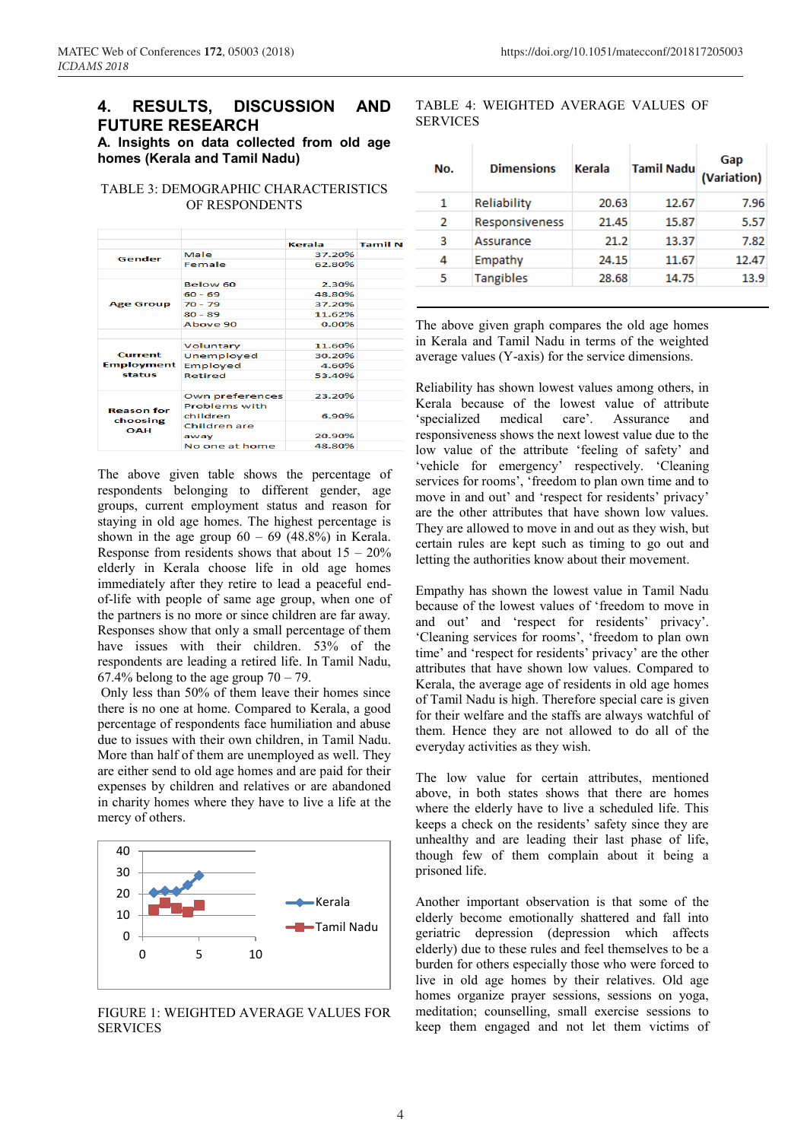**A. Insights on data collected from old age homes (Kerala and Tamil Nadu)**

#### TABLE 3: DEMOGRAPHIC CHARACTERISTICS OF RESPONDENTS

|                             |                      | Kerala | <b>Tamil N</b> |
|-----------------------------|----------------------|--------|----------------|
| Gender                      | Male                 | 37.20% |                |
|                             | Female               | 62.80% |                |
|                             |                      |        |                |
|                             | Below 60             | 2.30%  |                |
|                             | $60 - 69$            | 48.80% |                |
| <b>Age Group</b>            | $70 - 79$            | 37.20% |                |
|                             | $80 - 89$            | 11.62% |                |
|                             | Above 90             | 0.00%  |                |
|                             |                      |        |                |
|                             | Voluntary            | 11.60% |                |
| Current                     | Unemployed           | 30.20% |                |
| <b>Employment</b><br>status | Employed             | 4.60%  |                |
|                             | Retired              | 53.40% |                |
|                             |                      |        |                |
|                             | Own preferences      | 23.20% |                |
| <b>Reason for</b>           | <b>Problems with</b> |        |                |
| choosing                    | children             | 6.90%  |                |
| OAH                         | Children are         |        |                |
|                             | away                 | 20.90% |                |
|                             | No one at home       | 48.80% |                |

The above given table shows the percentage of respondents belonging to different gender, age groups, current employment status and reason for staying in old age homes. The highest percentage is shown in the age group  $60 - 69$  (48.8%) in Kerala. Response from residents shows that about  $15 - 20\%$ elderly in Kerala choose life in old age homes immediately after they retire to lead a peaceful endof-life with people of same age group, when one of the partners is no more or since children are far away. Responses show that only a small percentage of them have issues with their children. 53% of the respondents are leading a retired life. In Tamil Nadu, 67.4% belong to the age group  $70 - 79$ .

Only less than 50% of them leave their homes since there is no one at home. Compared to Kerala, a good percentage of respondents face humiliation and abuse due to issues with their own children, in Tamil Nadu. More than half of them are unemployed as well. They are either send to old age homes and are paid for their expenses by children and relatives or are abandoned in charity homes where they have to live a life at the mercy of others.



FIGURE 1: WEIGHTED AVERAGE VALUES FOR **SERVICES** 

#### TABLE 4: WEIGHTED AVERAGE VALUES OF SERVICES

| No. | <b>Dimensions</b> | Kerala | <b>Tamil Nadu</b> | Gap<br>(Variation) |
|-----|-------------------|--------|-------------------|--------------------|
| 1   | Reliability       | 20.63  | 12.67             | 7.96               |
| 2   | Responsiveness    | 21.45  | 15.87             | 5.57               |
| 3   | Assurance         | 21.2   | 13.37             | 7.82               |
| 4   | Empathy           | 24.15  | 11.67             | 12.47              |
| 5   | <b>Tangibles</b>  | 28.68  | 14.75             | 13.9               |
|     |                   |        |                   |                    |

The above given graph compares the old age homes in Kerala and Tamil Nadu in terms of the weighted average values (Y-axis) for the service dimensions.

Reliability has shown lowest values among others, in Kerala because of the lowest value of attribute 'specialized medical care'. Assurance and responsiveness shows the next lowest value due to the low value of the attribute 'feeling of safety' and 'vehicle for emergency' respectively. 'Cleaning services for rooms', 'freedom to plan own time and to move in and out' and 'respect for residents' privacy' are the other attributes that have shown low values. They are allowed to move in and out as they wish, but certain rules are kept such as timing to go out and letting the authorities know about their movement.

Empathy has shown the lowest value in Tamil Nadu because of the lowest values of "freedom to move in and out' and 'respect for residents' privacy'. "Cleaning services for rooms", "freedom to plan own time' and 'respect for residents' privacy' are the other attributes that have shown low values. Compared to Kerala, the average age of residents in old age homes of Tamil Nadu is high. Therefore special care is given for their welfare and the staffs are always watchful of them. Hence they are not allowed to do all of the everyday activities as they wish.

The low value for certain attributes, mentioned above, in both states shows that there are homes where the elderly have to live a scheduled life. This keeps a check on the residents" safety since they are unhealthy and are leading their last phase of life, though few of them complain about it being a prisoned life.

Another important observation is that some of the elderly become emotionally shattered and fall into geriatric depression (depression which affects elderly) due to these rules and feel themselves to be a burden for others especially those who were forced to live in old age homes by their relatives. Old age homes organize prayer sessions, sessions on yoga, meditation; counselling, small exercise sessions to keep them engaged and not let them victims of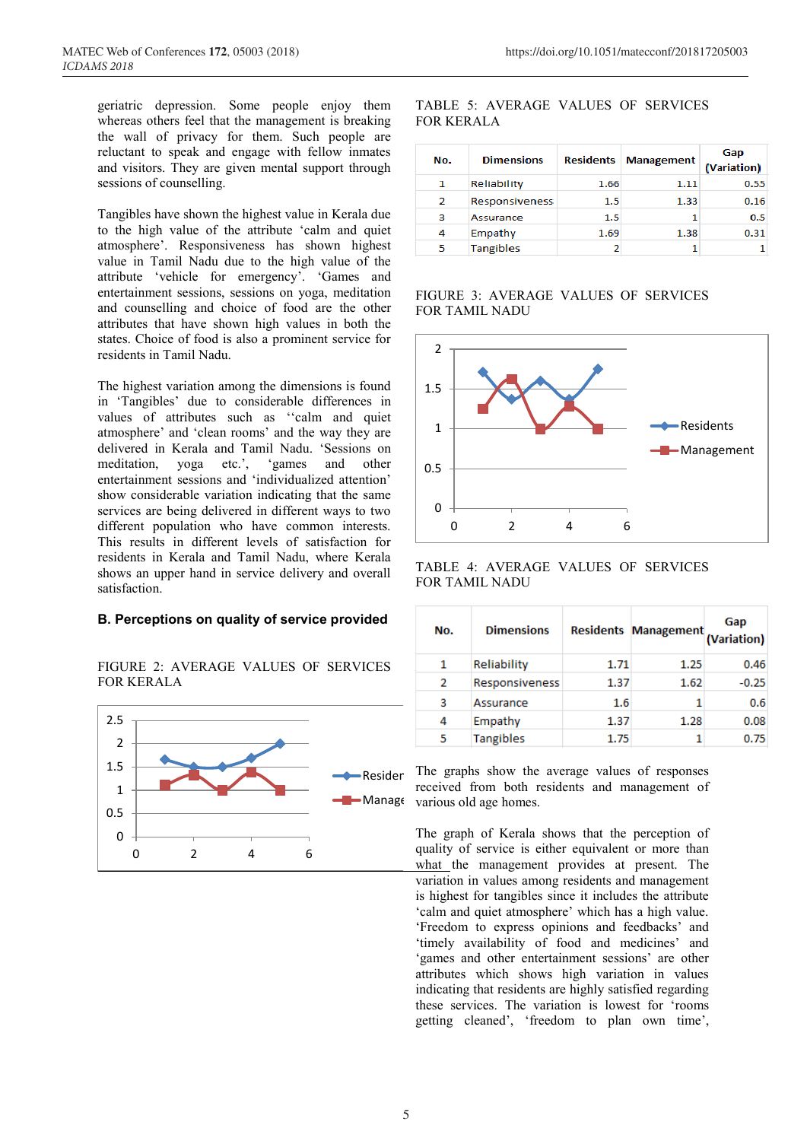geriatric depression. Some people enjoy them whereas others feel that the management is breaking the wall of privacy for them. Such people are reluctant to speak and engage with fellow inmates and visitors. They are given mental support through sessions of counselling.

Tangibles have shown the highest value in Kerala due to the high value of the attribute "calm and quiet atmosphere". Responsiveness has shown highest value in Tamil Nadu due to the high value of the attribute "vehicle for emergency". "Games and entertainment sessions, sessions on yoga, meditation and counselling and choice of food are the other attributes that have shown high values in both the states. Choice of food is also a prominent service for residents in Tamil Nadu.

The highest variation among the dimensions is found in "Tangibles" due to considerable differences in values of attributes such as "calm and quiet atmosphere" and "clean rooms" and the way they are delivered in Kerala and Tamil Nadu. "Sessions on meditation, yoga etc.', 'games and other entertainment sessions and "individualized attention" show considerable variation indicating that the same services are being delivered in different ways to two different population who have common interests. This results in different levels of satisfaction for residents in Kerala and Tamil Nadu, where Kerala shows an upper hand in service delivery and overall satisfaction.

#### **B. Perceptions on quality of service provided**

FIGURE 2: AVERAGE VALUES OF SERVICES FOR KERALA



#### TABLE 5: AVERAGE VALUES OF SERVICES FOR KERALA

| No. | <b>Dimensions</b> | <b>Residents</b> | <b>Management</b> | Gap<br>(Variation) |
|-----|-------------------|------------------|-------------------|--------------------|
| 1   | Reliability       | 1.66             | 1.11              | 0.55               |
| 2   | Responsiveness    | 1.5              | 1.33              | 0.16               |
| з   | Assurance         | 1.5              |                   | 0.5                |
| 4   | Empathy           | 1.69             | 1.38              | 0.31               |
| 5   | <b>Tangibles</b>  | 2                |                   |                    |

#### FIGURE 3: AVERAGE VALUES OF SERVICES FOR TAMIL NADU



TABLE 4: AVERAGE VALUES OF SERVICES FOR TAMIL NADU

| No. | <b>Dimensions</b> |      | <b>Residents Management</b> | Gap<br>(Variation) |
|-----|-------------------|------|-----------------------------|--------------------|
| 1   | Reliability       | 1.71 | 1.25                        | 0.46               |
| 2   | Responsiveness    | 1.37 | 1.62                        | $-0.25$            |
| 3   | Assurance         | 1.6  |                             | 0.6                |
| 4   | Empathy           | 1.37 | 1.28                        | 0.08               |
| 5   | <b>Tangibles</b>  | 1.75 |                             | 0.75               |

The graphs show the average values of responses received from both residents and management of various old age homes.

The graph of Kerala shows that the perception of quality of service is either equivalent or more than what the management provides at present. The variation in values among residents and management is highest for tangibles since it includes the attribute 'calm and quiet atmosphere' which has a high value. "Freedom to express opinions and feedbacks" and 'timely availability of food and medicines' and 'games and other entertainment sessions' are other attributes which shows high variation in values indicating that residents are highly satisfied regarding these services. The variation is lowest for "rooms getting cleaned", "freedom to plan own time",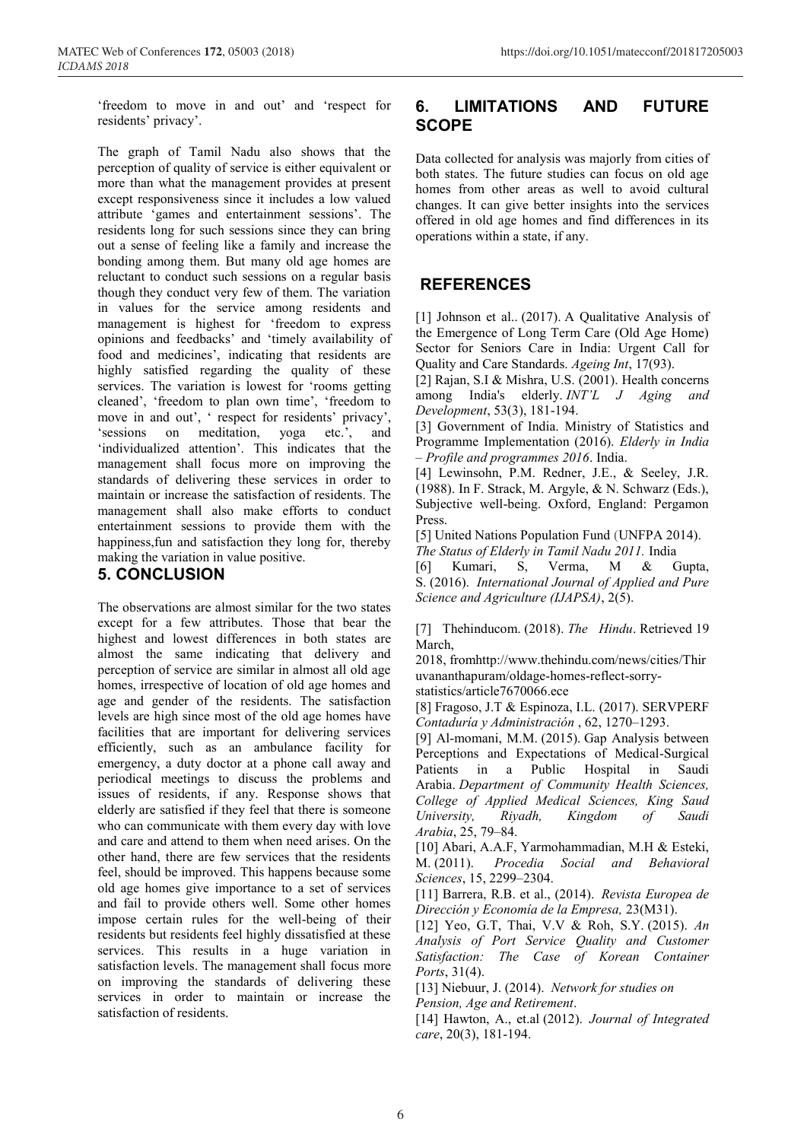"freedom to move in and out" and "respect for residents' privacy'.

The graph of Tamil Nadu also shows that the perception of quality of service is either equivalent or more than what the management provides at present except responsiveness since it includes a low valued attribute 'games and entertainment sessions'. The residents long for such sessions since they can bring out a sense of feeling like a family and increase the bonding among them. But many old age homes are reluctant to conduct such sessions on a regular basis though they conduct very few of them. The variation in values for the service among residents and management is highest for "freedom to express opinions and feedbacks" and "timely availability of food and medicines', indicating that residents are highly satisfied regarding the quality of these services. The variation is lowest for "rooms getting cleaned', 'freedom to plan own time', 'freedom to move in and out', ' respect for residents' privacy', "sessions on meditation, yoga etc.", and 'individualized attention'. This indicates that the management shall focus more on improving the standards of delivering these services in order to maintain or increase the satisfaction of residents. The management shall also make efforts to conduct entertainment sessions to provide them with the happiness,fun and satisfaction they long for, thereby making the variation in value positive.

### **5. CONCLUSION**

The observations are almost similar for the two states except for a few attributes. Those that bear the highest and lowest differences in both states are almost the same indicating that delivery and perception of service are similar in almost all old age homes, irrespective of location of old age homes and age and gender of the residents. The satisfaction levels are high since most of the old age homes have facilities that are important for delivering services efficiently, such as an ambulance facility for emergency, a duty doctor at a phone call away and periodical meetings to discuss the problems and issues of residents, if any. Response shows that elderly are satisfied if they feel that there is someone who can communicate with them every day with love and care and attend to them when need arises. On the other hand, there are few services that the residents feel, should be improved. This happens because some old age homes give importance to a set of services and fail to provide others well. Some other homes impose certain rules for the well-being of their residents but residents feel highly dissatisfied at these services. This results in a huge variation in satisfaction levels. The management shall focus more on improving the standards of delivering these services in order to maintain or increase the satisfaction of residents.

## **6. LIMITATIONS AND FUTURE SCOPE**

Data collected for analysis was majorly from cities of both states. The future studies can focus on old age homes from other areas as well to avoid cultural changes. It can give better insights into the services offered in old age homes and find differences in its operations within a state, if any.

## **REFERENCES**

[1] Johnson et al.. (2017). A Qualitative Analysis of the Emergence of Long Term Care (Old Age Home) Sector for Seniors Care in India: Urgent Call for Quality and Care Standards. *Ageing Int*, 17(93).

[2] Rajan, S.I & Mishra, U.S. (2001). Health concerns among India's elderly. *INT'L J Aging and Development*, 53(3), 181-194.

[3] Government of India. Ministry of Statistics and Programme Implementation (2016). *Elderly in India – Profile and programmes 2016*. India.

[4] Lewinsohn, P.M. Redner, J.E., & Seeley, J.R. (1988). In F. Strack, M. Argyle, & N. Schwarz (Eds.), Subjective well-being. Oxford, England: Pergamon Press.

[5] United Nations Population Fund (UNFPA 2014). *The Status of Elderly in Tamil Nadu 2011.* India

[6] Kumari, S, Verma, M & Gupta, S. (2016). *International Journal of Applied and Pure Science and Agriculture (IJAPSA)*, 2(5).

[7] Thehinducom. (2018). *The Hindu*. Retrieved 19 March,

2018, fromhttp://www.thehindu.com/news/cities/Thir uvananthapuram/oldage-homes-reflect-sorry-

statistics/article7670066.ece

[8] Fragoso, J.T & Espinoza, I.L. (2017). SERVPERF *Contaduría y Administración* , 62, 1270–1293.

[9] Al-momani, M.M. (2015). Gap Analysis between Perceptions and Expectations of Medical-Surgical Patients in a Public Hospital in Saudi Arabia. *Department of Community Health Sciences, College of Applied Medical Sciences, King Saud University, Riyadh, Kingdom of Saudi Arabia*, 25, 79–84.

[10] Abari, A.A.F, Yarmohammadian, M.H & Esteki, M. (2011). *Procedia Social and Behavioral Sciences*, 15, 2299–2304.

[11] Barrera, R.B. et al., (2014). *Revista Europea de Dirección y Economía de la Empresa,* 23(M31).

[12] Yeo, G.T, Thai, V.V & Roh, S.Y. (2015). *An Analysis of Port Service Quality and Customer Satisfaction: The Case of Korean Container Ports*, 31(4).

[13] Niebuur, J. (2014). *Network for studies on Pension, Age and Retirement*.

[14] Hawton, A., et.al (2012). *Journal of Integrated care*, 20(3), 181-194.